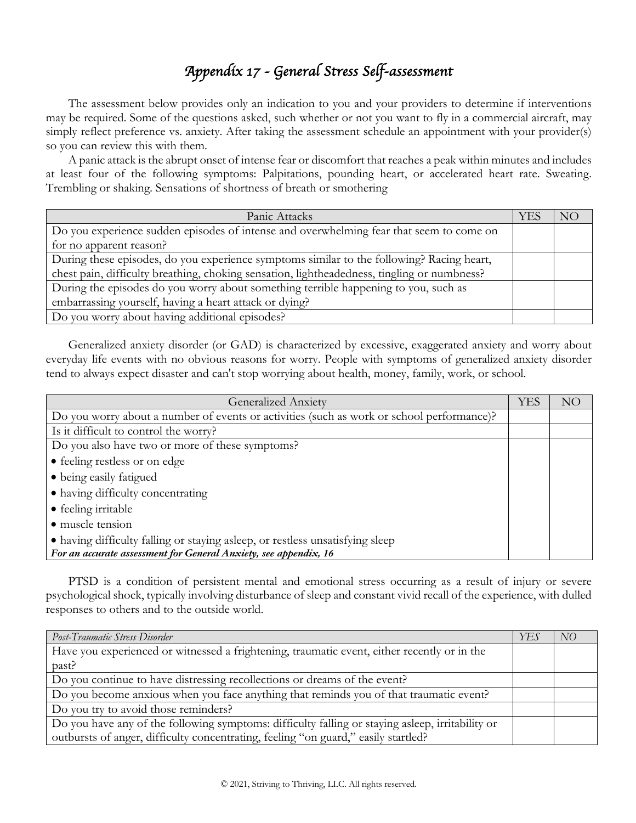## *Appendix 17 - General Stress Self-assessment*

The assessment below provides only an indication to you and your providers to determine if interventions may be required. Some of the questions asked, such whether or not you want to fly in a commercial aircraft, may simply reflect preference vs. anxiety. After taking the assessment schedule an appointment with your provider(s) so you can review this with them.

A panic attack is the abrupt onset of intense fear or discomfort that reaches a peak within minutes and includes at least four of the following symptoms: Palpitations, pounding heart, or accelerated heart rate. Sweating. Trembling or shaking. Sensations of shortness of breath or smothering

| Panic Attacks                                                                               | <b>YES</b> | N() |
|---------------------------------------------------------------------------------------------|------------|-----|
| Do you experience sudden episodes of intense and overwhelming fear that seem to come on     |            |     |
| for no apparent reason?                                                                     |            |     |
| During these episodes, do you experience symptoms similar to the following? Racing heart,   |            |     |
| chest pain, difficulty breathing, choking sensation, lightheadedness, tingling or numbness? |            |     |
| During the episodes do you worry about something terrible happening to you, such as         |            |     |
| embarrassing yourself, having a heart attack or dying?                                      |            |     |
| Do you worry about having additional episodes?                                              |            |     |

Generalized anxiety disorder (or GAD) is characterized by excessive, exaggerated anxiety and worry about everyday life events with no obvious reasons for worry. People with symptoms of generalized anxiety disorder tend to always expect disaster and can't stop worrying about health, money, family, work, or school.

| <b>Generalized Anxiety</b>                                                                | <b>YES</b> | NO |
|-------------------------------------------------------------------------------------------|------------|----|
| Do you worry about a number of events or activities (such as work or school performance)? |            |    |
| Is it difficult to control the worry?                                                     |            |    |
| Do you also have two or more of these symptoms?                                           |            |    |
| • feeling restless or on edge                                                             |            |    |
| • being easily fatigued                                                                   |            |    |
| • having difficulty concentrating                                                         |            |    |
| • feeling irritable                                                                       |            |    |
| · muscle tension                                                                          |            |    |
| • having difficulty falling or staying asleep, or restless unsatisfying sleep             |            |    |
| For an accurate assessment for General Anxiety, see appendix, 16                          |            |    |

PTSD is a condition of persistent mental and emotional stress occurring as a result of injury or severe psychological shock, typically involving disturbance of sleep and constant vivid recall of the experience, with dulled responses to others and to the outside world.

| Post-Traumatic Stress Disorder                                                                   | YES | NO |
|--------------------------------------------------------------------------------------------------|-----|----|
| Have you experienced or witnessed a frightening, traumatic event, either recently or in the      |     |    |
| past?                                                                                            |     |    |
| Do you continue to have distressing recollections or dreams of the event?                        |     |    |
| Do you become anxious when you face anything that reminds you of that traumatic event?           |     |    |
| Do you try to avoid those reminders?                                                             |     |    |
| Do you have any of the following symptoms: difficulty falling or staying asleep, irritability or |     |    |
| outbursts of anger, difficulty concentrating, feeling "on guard," easily startled?               |     |    |